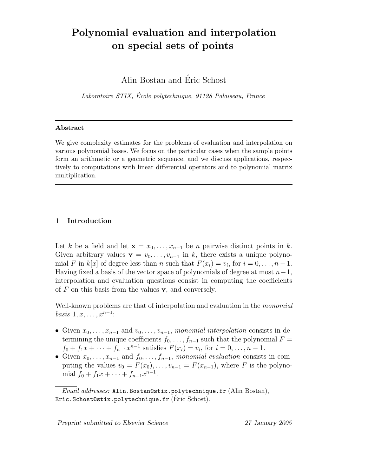# Polynomial evaluation and interpolation on special sets of points

Alin Bostan and Eric Schost ´

Laboratoire STIX, Ecole polytechnique, 91128 Palaiseau, France ´

## Abstract

We give complexity estimates for the problems of evaluation and interpolation on various polynomial bases. We focus on the particular cases when the sample points form an arithmetic or a geometric sequence, and we discuss applications, respectively to computations with linear differential operators and to polynomial matrix multiplication.

# 1 Introduction

Let k be a field and let  $\mathbf{x} = x_0, \ldots, x_{n-1}$  be n pairwise distinct points in k. Given arbitrary values  $\mathbf{v} = v_0, \ldots, v_{n-1}$  in k, there exists a unique polynomial F in  $k[x]$  of degree less than n such that  $F(x_i) = v_i$ , for  $i = 0, \ldots, n-1$ . Having fixed a basis of the vector space of polynomials of degree at most  $n-1$ , interpolation and evaluation questions consist in computing the coefficients of  $F$  on this basis from the values  $v$ , and conversely.

Well-known problems are that of interpolation and evaluation in the *monomial* basis  $1, x, \ldots, x^{n-1}$ :

- Given  $x_0, \ldots, x_{n-1}$  and  $v_0, \ldots, v_{n-1}$ , monomial interpolation consists in determining the unique coefficients  $f_0, \ldots, f_{n-1}$  such that the polynomial  $F =$  $f_0 + f_1 x + \cdots + f_{n-1} x^{n-1}$  satisfies  $F(x_i) = v_i$ , for  $i = 0, \ldots, n-1$ .
- Given  $x_0, \ldots, x_{n-1}$  and  $f_0, \ldots, f_{n-1}$ , monomial evaluation consists in computing the values  $v_0 = F(x_0), \ldots, v_{n-1} = F(x_{n-1})$ , where F is the polynomial  $f_0 + f_1 x + \cdots + f_{n-1} x^{n-1}$ .

*Email addresses:* Alin.Bostan@stix.polytechnique.fr (Alin Bostan), Eric.Schost@stix.polytechnique.fr (Eric Schost). ´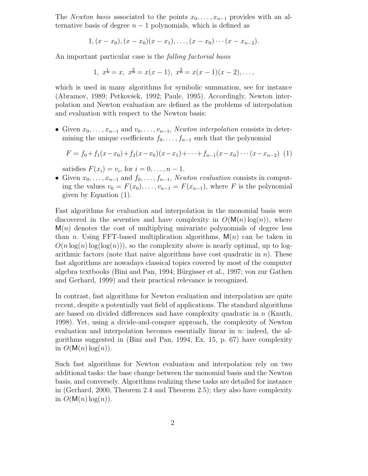The Newton basis associated to the points  $x_0, \ldots, x_{n-1}$  provides with an alternative basis of degree  $n-1$  polynomials, which is defined as

$$
1, (x-x_0), (x-x_0)(x-x_1), \ldots, (x-x_0)\cdots (x-x_{n-2}).
$$

An important particular case is the falling factorial basis

1, 
$$
x^{\underline{1}} = x
$$
,  $x^{\underline{2}} = x(x-1)$ ,  $x^{\underline{3}} = x(x-1)(x-2)$ , ...,

which is used in many algorithms for symbolic summation, see for instance (Abramov, 1989; Petkovšek, 1992; Paule, 1995). Accordingly, Newton interpolation and Newton evaluation are defined as the problems of interpolation and evaluation with respect to the Newton basis:

• Given  $x_0, \ldots, x_{n-1}$  and  $v_0, \ldots, v_{n-1}$ , Newton interpolation consists in determining the unique coefficients  $f_0, \ldots, f_{n-1}$  such that the polynomial

$$
F = f_0 + f_1(x - x_0) + f_2(x - x_0)(x - x_1) + \dots + f_{n-1}(x - x_0) \dots (x - x_{n-2}) \tag{1}
$$

satisfies  $F(x_i) = v_i$ , for  $i = 0, \ldots, n - 1$ .

• Given  $x_0, \ldots, x_{n-1}$  and  $f_0, \ldots, f_{n-1}$ , Newton evaluation consists in computing the values  $v_0 = F(x_0), \ldots, v_{n-1} = F(x_{n-1}),$  where F is the polynomial given by Equation (1).

Fast algorithms for evaluation and interpolation in the monomial basis were discovered in the seventies and have complexity in  $O(M(n) \log(n))$ , where  $M(n)$  denotes the cost of multiplying univariate polynomials of degree less than n. Using FFT-based multiplication algorithms,  $M(n)$  can be taken in  $O(n \log(n) \log(\log(n)))$ , so the complexity above is nearly optimal, up to logarithmic factors (note that naive algorithms have cost quadratic in  $n$ ). These fast algorithms are nowadays classical topics covered by most of the computer algebra textbooks (Bini and Pan, 1994; Bürgisser et al., 1997; von zur Gathen and Gerhard, 1999) and their practical relevance is recognized.

In contrast, fast algorithms for Newton evaluation and interpolation are quite recent, despite a potentially vast field of applications. The standard algorithms are based on divided differences and have complexity quadratic in  $n$  (Knuth, 1998). Yet, using a divide-and-conquer approach, the complexity of Newton evaluation and interpolation becomes essentially linear in  $n$ : indeed, the algorithms suggested in (Bini and Pan, 1994, Ex. 15, p. 67) have complexity in  $O(M(n) \log(n))$ .

Such fast algorithms for Newton evaluation and interpolation rely on two additional tasks: the base change between the monomial basis and the Newton basis, and conversely. Algorithms realizing these tasks are detailed for instance in (Gerhard, 2000, Theorem 2.4 and Theorem 2.5); they also have complexity in  $O(M(n) \log(n))$ .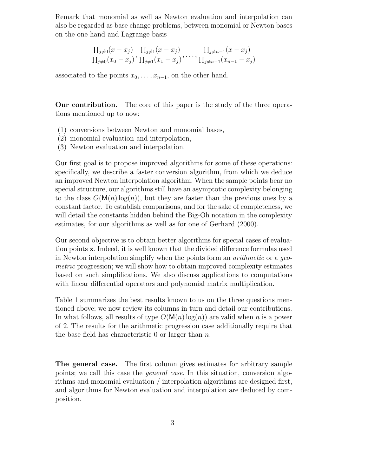Remark that monomial as well as Newton evaluation and interpolation can also be regarded as base change problems, between monomial or Newton bases on the one hand and Lagrange basis

$$
\frac{\prod_{j\neq 0}(x-x_j)}{\prod_{j\neq 0}(x_0-x_j)}, \frac{\prod_{j\neq 1}(x-x_j)}{\prod_{j\neq 1}(x_1-x_j)}, \ldots, \frac{\prod_{j\neq n-1}(x-x_j)}{\prod_{j\neq n-1}(x_{n-1}-x_j)}
$$

associated to the points  $x_0, \ldots, x_{n-1}$ , on the other hand.

Our contribution. The core of this paper is the study of the three operations mentioned up to now:

- (1) conversions between Newton and monomial bases,
- (2) monomial evaluation and interpolation,
- (3) Newton evaluation and interpolation.

Our first goal is to propose improved algorithms for some of these operations: specifically, we describe a faster conversion algorithm, from which we deduce an improved Newton interpolation algorithm. When the sample points bear no special structure, our algorithms still have an asymptotic complexity belonging to the class  $O(M(n) \log(n))$ , but they are faster than the previous ones by a constant factor. To establish comparisons, and for the sake of completeness, we will detail the constants hidden behind the Big-Oh notation in the complexity estimates, for our algorithms as well as for one of Gerhard (2000).

Our second objective is to obtain better algorithms for special cases of evaluation points x. Indeed, it is well known that the divided difference formulas used in Newton interpolation simplify when the points form an arithmetic or a geometric progression; we will show how to obtain improved complexity estimates based on such simplifications. We also discuss applications to computations with linear differential operators and polynomial matrix multiplication.

Table 1 summarizes the best results known to us on the three questions mentioned above; we now review its columns in turn and detail our contributions. In what follows, all results of type  $O(M(n) \log(n))$  are valid when n is a power of 2. The results for the arithmetic progression case additionally require that the base field has characteristic 0 or larger than  $n$ .

The general case. The first column gives estimates for arbitrary sample points; we call this case the general case. In this situation, conversion algorithms and monomial evaluation / interpolation algorithms are designed first, and algorithms for Newton evaluation and interpolation are deduced by composition.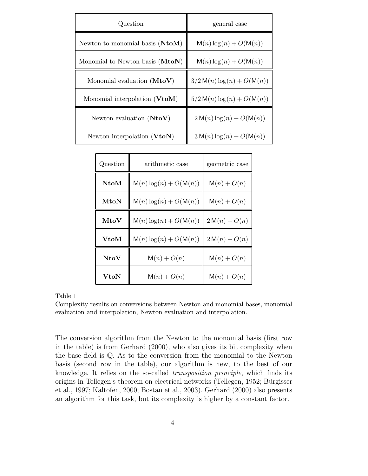| Question                        | general case                               |  |  |  |
|---------------------------------|--------------------------------------------|--|--|--|
| Newton to monomial basis (NtoM) | $M(n) \log(n) + O(M(n))$                   |  |  |  |
| Monomial to Newton basis (MtoN) | $M(n) \log(n) + O(M(n))$                   |  |  |  |
| Monomial evaluation $(MtoV)$    | $3/2 M(n) \log(n) + O(M(n))$               |  |  |  |
| Monomial interpolation (VtoM)   | $5/2 M(n) \log(n) + O(M(n))$               |  |  |  |
| Newton evaluation $(NtoV)$      | $2\mathsf{M}(n)\log(n)+O(\mathsf{M}(n))$   |  |  |  |
| Newton interpolation $(VtoN)$   | $3\mathsf{M}(n)\log(n) + O(\mathsf{M}(n))$ |  |  |  |

| Question    | arithmetic case          | geometric case        |  |  |  |
|-------------|--------------------------|-----------------------|--|--|--|
| <b>NtoM</b> | $M(n) \log(n) + O(M(n))$ | $M(n) + O(n)$         |  |  |  |
| MtoN        | $M(n) \log(n) + O(M(n))$ | $M(n) + O(n)$         |  |  |  |
| MtoV        | $M(n) \log(n) + O(M(n))$ | $2\mathsf{M}(n)+O(n)$ |  |  |  |
| VtoM        | $M(n) \log(n) + O(M(n))$ | $2\mathsf{M}(n)+O(n)$ |  |  |  |
| NtoV        | $M(n) + O(n)$            | $M(n) + O(n)$         |  |  |  |
| VtoN        | $M(n) + O(n)$            | $M(n) + O(n)$         |  |  |  |

Table 1

Complexity results on conversions between Newton and monomial bases, monomial evaluation and interpolation, Newton evaluation and interpolation.

The conversion algorithm from the Newton to the monomial basis (first row in the table) is from Gerhard (2000), who also gives its bit complexity when the base field is Q. As to the conversion from the monomial to the Newton basis (second row in the table), our algorithm is new, to the best of our knowledge. It relies on the so-called transposition principle, which finds its origins in Tellegen's theorem on electrical networks (Tellegen, 1952; Bürgisser et al., 1997; Kaltofen, 2000; Bostan et al., 2003). Gerhard (2000) also presents an algorithm for this task, but its complexity is higher by a constant factor.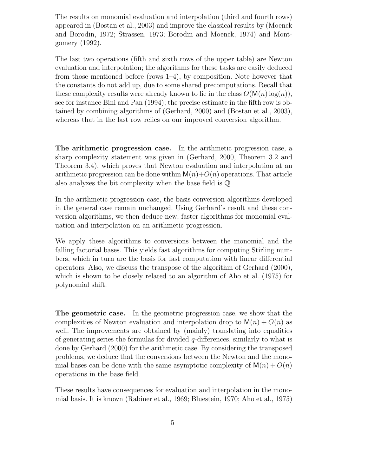The results on monomial evaluation and interpolation (third and fourth rows) appeared in (Bostan et al., 2003) and improve the classical results by (Moenck and Borodin, 1972; Strassen, 1973; Borodin and Moenck, 1974) and Montgomery (1992).

The last two operations (fifth and sixth rows of the upper table) are Newton evaluation and interpolation; the algorithms for these tasks are easily deduced from those mentioned before (rows  $1-4$ ), by composition. Note however that the constants do not add up, due to some shared precomputations. Recall that these complexity results were already known to lie in the class  $O(M(n) \log(n)),$ see for instance Bini and Pan (1994); the precise estimate in the fifth row is obtained by combining algorithms of (Gerhard, 2000) and (Bostan et al., 2003), whereas that in the last row relies on our improved conversion algorithm.

The arithmetic progression case. In the arithmetic progression case, a sharp complexity statement was given in (Gerhard, 2000, Theorem 3.2 and Theorem 3.4), which proves that Newton evaluation and interpolation at an arithmetic progression can be done within  $\mathsf{M}(n)+O(n)$  operations. That article also analyzes the bit complexity when the base field is Q.

In the arithmetic progression case, the basis conversion algorithms developed in the general case remain unchanged. Using Gerhard's result and these conversion algorithms, we then deduce new, faster algorithms for monomial evaluation and interpolation on an arithmetic progression.

We apply these algorithms to conversions between the monomial and the falling factorial bases. This yields fast algorithms for computing Stirling numbers, which in turn are the basis for fast computation with linear differential operators. Also, we discuss the transpose of the algorithm of Gerhard (2000), which is shown to be closely related to an algorithm of Aho et al. (1975) for polynomial shift.

The geometric case. In the geometric progression case, we show that the complexities of Newton evaluation and interpolation drop to  $M(n) + O(n)$  as well. The improvements are obtained by (mainly) translating into equalities of generating series the formulas for divided  $q$ -differences, similarly to what is done by Gerhard (2000) for the arithmetic case. By considering the transposed problems, we deduce that the conversions between the Newton and the monomial bases can be done with the same asymptotic complexity of  $M(n) + O(n)$ operations in the base field.

These results have consequences for evaluation and interpolation in the monomial basis. It is known (Rabiner et al., 1969; Bluestein, 1970; Aho et al., 1975)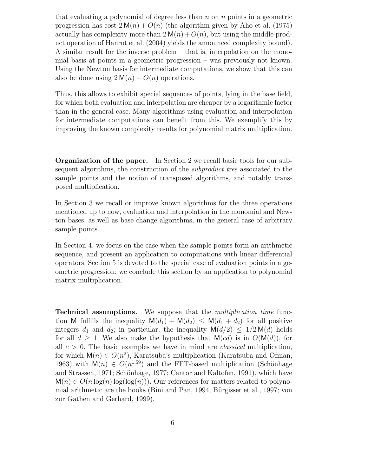that evaluating a polynomial of degree less than  $n$  on  $n$  points in a geometric progression has cost  $2 M(n) + O(n)$  (the algorithm given by Aho et al. (1975) actually has complexity more than  $2 M(n) + O(n)$ , but using the middle product operation of Hanrot et al. (2004) yields the announced complexity bound). A similar result for the inverse problem – that is, interpolation on the monomial basis at points in a geometric progression – was previously not known. Using the Newton basis for intermediate computations, we show that this can also be done using  $2 M(n) + O(n)$  operations.

Thus, this allows to exhibit special sequences of points, lying in the base field, for which both evaluation and interpolation are cheaper by a logarithmic factor than in the general case. Many algorithms using evaluation and interpolation for intermediate computations can benefit from this. We exemplify this by improving the known complexity results for polynomial matrix multiplication.

Organization of the paper. In Section 2 we recall basic tools for our subsequent algorithms, the construction of the subproduct tree associated to the sample points and the notion of transposed algorithms, and notably transposed multiplication.

In Section 3 we recall or improve known algorithms for the three operations mentioned up to now, evaluation and interpolation in the monomial and Newton bases, as well as base change algorithms, in the general case of arbitrary sample points.

In Section 4, we focus on the case when the sample points form an arithmetic sequence, and present an application to computations with linear differential operators. Section 5 is devoted to the special case of evaluation points in a geometric progression; we conclude this section by an application to polynomial matrix multiplication.

**Technical assumptions.** We suppose that the *multiplication time* function M fulfills the inequality  $M(d_1) + M(d_2) \leq M(d_1 + d_2)$  for all positive integers  $d_1$  and  $d_2$ ; in particular, the inequality  $M(d/2) \leq 1/2 M(d)$  holds for all  $d > 1$ . We also make the hypothesis that  $\mathsf{M}(cd)$  is in  $\mathcal{O}(\mathsf{M}(d))$ , for all  $c > 0$ . The basic examples we have in mind are *classical* multiplication, for which  $M(n) \in O(n^2)$ , Karatsuba's multiplication (Karatsuba and Ofman, 1963) with  $\mathsf{M}(n) \in O(n^{1.59})$  and the FFT-based multiplication (Schönhage and Strassen, 1971; Schönhage, 1977; Cantor and Kaltofen, 1991), which have  $\mathsf{M}(n) \in O(n \log(n) \log(\log(n)))$ . Our references for matters related to polynomial arithmetic are the books (Bini and Pan, 1994; Bürgisser et al., 1997; von zur Gathen and Gerhard, 1999).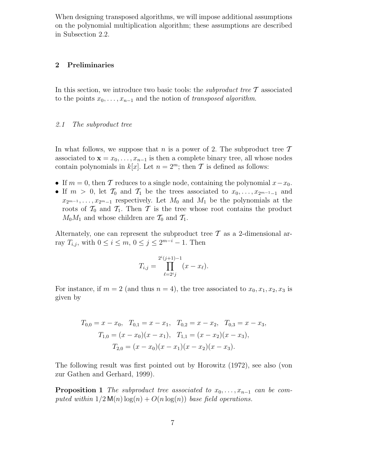When designing transposed algorithms, we will impose additional assumptions on the polynomial multiplication algorithm; these assumptions are described in Subsection 2.2.

## 2 Preliminaries

In this section, we introduce two basic tools: the *subproduct tree*  $\mathcal T$  associated to the points  $x_0, \ldots, x_{n-1}$  and the notion of transposed algorithm.

### 2.1 The subproduct tree

In what follows, we suppose that n is a power of 2. The subproduct tree  $\mathcal T$ associated to  $\mathbf{x} = x_0, \ldots, x_{n-1}$  is then a complete binary tree, all whose nodes contain polynomials in  $k[x]$ . Let  $n = 2^m$ ; then T is defined as follows:

- If  $m = 0$ , then T reduces to a single node, containing the polynomial  $x x_0$ .
- If  $m > 0$ , let  $\mathcal{T}_0$  and  $\mathcal{T}_1$  be the trees associated to  $x_0, \ldots, x_{2^{m-1}-1}$  and  $x_{2^{m-1}}, \ldots, x_{2^{m}-1}$  respectively. Let  $M_0$  and  $M_1$  be the polynomials at the roots of  $\mathcal{T}_0$  and  $\mathcal{T}_1$ . Then  $\mathcal{T}$  is the tree whose root contains the product  $M_0M_1$  and whose children are  $\mathcal{T}_0$  and  $\mathcal{T}_1$ .

Alternately, one can represent the subproduct tree  $\mathcal T$  as a 2-dimensional array  $T_{i,j}$ , with  $0 \leq i \leq m$ ,  $0 \leq j \leq 2^{m-i} - 1$ . Then

$$
T_{i,j} = \prod_{\ell=2^{i}j}^{2^{i}(j+1)-1} (x - x_{\ell}).
$$

For instance, if  $m = 2$  (and thus  $n = 4$ ), the tree associated to  $x_0, x_1, x_2, x_3$  is given by

$$
T_{0,0} = x - x_0, \quad T_{0,1} = x - x_1, \quad T_{0,2} = x - x_2, \quad T_{0,3} = x - x_3,
$$

$$
T_{1,0} = (x - x_0)(x - x_1), \quad T_{1,1} = (x - x_2)(x - x_3),
$$

$$
T_{2,0} = (x - x_0)(x - x_1)(x - x_2)(x - x_3).
$$

The following result was first pointed out by Horowitz (1972), see also (von zur Gathen and Gerhard, 1999).

**Proposition 1** The subproduct tree associated to  $x_0, \ldots, x_{n-1}$  can be computed within  $1/2 \mathsf{M}(n) \log(n) + O(n \log(n))$  base field operations.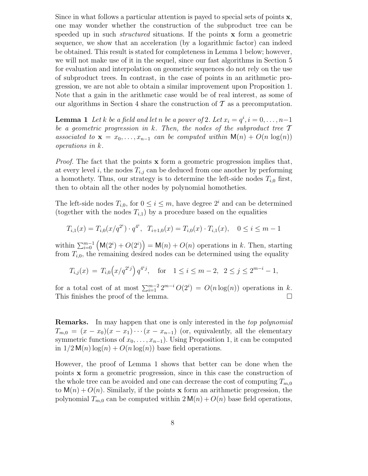Since in what follows a particular attention is payed to special sets of points  $x$ , one may wonder whether the construction of the subproduct tree can be speeded up in such *structured* situations. If the points  $\bf{x}$  form a geometric sequence, we show that an acceleration (by a logarithmic factor) can indeed be obtained. This result is stated for completeness in Lemma 1 below; however, we will not make use of it in the sequel, since our fast algorithms in Section 5 for evaluation and interpolation on geometric sequences do not rely on the use of subproduct trees. In contrast, in the case of points in an arithmetic progression, we are not able to obtain a similar improvement upon Proposition 1. Note that a gain in the arithmetic case would be of real interest, as some of our algorithms in Section 4 share the construction of  $\mathcal T$  as a precomputation.

**Lemma 1** Let k be a field and let n be a power of 2. Let  $x_i = q^i, i = 0, \ldots, n-1$ be a geometric progression in k. Then, the nodes of the subproduct tree  $\mathcal T$ associated to  $\mathbf{x} = x_0, \ldots, x_{n-1}$  can be computed within  $\mathsf{M}(n) + O(n \log(n))$ operations in k.

*Proof.* The fact that the points  $x$  form a geometric progression implies that, at every level i, the nodes  $T_{i,j}$  can be deduced from one another by performing a homothety. Thus, our strategy is to determine the left-side nodes  $T_{i,0}$  first, then to obtain all the other nodes by polynomial homotheties.

The left-side nodes  $T_{i,0}$ , for  $0 \leq i \leq m$ , have degree  $2^i$  and can be determined (together with the nodes  $T_{i,1}$ ) by a procedure based on the equalities

$$
T_{i,1}(x) = T_{i,0}(x/q^{2^i}) \cdot q^{4^i}, \quad T_{i+1,0}(x) = T_{i,0}(x) \cdot T_{i,1}(x), \quad 0 \le i \le m-1
$$

within  $\sum_{i=0}^{m-1} (M(2^i) + O(2^i)) = M(n) + O(n)$  operations in k. Then, starting from  $T_{i,0}$ , the remaining desired nodes can be determined using the equality

$$
T_{i,j}(x) = T_{i,0}(x/q^{2^{i}j}) q^{4^{i}j}, \text{ for } 1 \le i \le m-2, 2 \le j \le 2^{m-i}-1,
$$

for a total cost of at most  $\sum_{i=1}^{m-2} 2^{m-i} O(2^i) = O(n \log(n))$  operations in k. This finishes the proof of the lemma.

**Remarks.** In may happen that one is only interested in the *top polynomial*  $T_{m,0} = (x - x_0)(x - x_1) \cdots (x - x_{n-1})$  (or, equivalently, all the elementary symmetric functions of  $x_0, \ldots, x_{n-1}$ ). Using Proposition 1, it can be computed in  $1/2 M(n) \log(n) + O(n \log(n))$  base field operations.

However, the proof of Lemma 1 shows that better can be done when the points x form a geometric progression, since in this case the construction of the whole tree can be avoided and one can decrease the cost of computing  $T_{m,0}$ to  $M(n) + O(n)$ . Similarly, if the points **x** form an arithmetic progression, the polynomial  $T_{m,0}$  can be computed within  $2 M(n) + O(n)$  base field operations,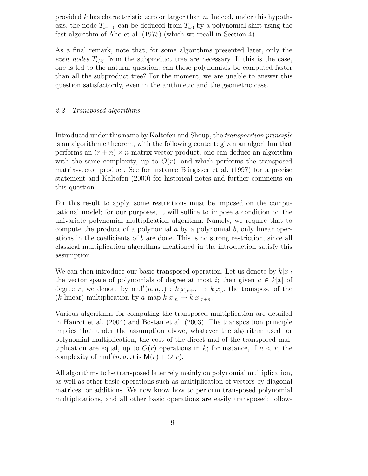provided k has characteristic zero or larger than n. Indeed, under this hypothesis, the node  $T_{i+1,0}$  can be deduced from  $T_{i,0}$  by a polynomial shift using the fast algorithm of Aho et al. (1975) (which we recall in Section 4).

As a final remark, note that, for some algorithms presented later, only the even nodes  $T_{i,2j}$  from the subproduct tree are necessary. If this is the case, one is led to the natural question: can these polynomials be computed faster than all the subproduct tree? For the moment, we are unable to answer this question satisfactorily, even in the arithmetic and the geometric case.

# 2.2 Transposed algorithms

Introduced under this name by Kaltofen and Shoup, the transposition principle is an algorithmic theorem, with the following content: given an algorithm that performs an  $(r+n) \times n$  matrix-vector product, one can deduce an algorithm with the same complexity, up to  $O(r)$ , and which performs the transposed matrix-vector product. See for instance Bürgisser et al. (1997) for a precise statement and Kaltofen (2000) for historical notes and further comments on this question.

For this result to apply, some restrictions must be imposed on the computational model; for our purposes, it will suffice to impose a condition on the univariate polynomial multiplication algorithm. Namely, we require that to compute the product of a polynomial  $\alpha$  by a polynomial  $\beta$ , only linear operations in the coefficients of b are done. This is no strong restriction, since all classical multiplication algorithms mentioned in the introduction satisfy this assumption.

We can then introduce our basic transposed operation. Let us denote by  $k[x]_i$ the vector space of polynomials of degree at most i; then given  $a \in k[x]$  of degree r, we denote by  $\text{mul}^t(n, a, .) : k[x]_{r+n} \to k[x]_n$  the transpose of the (k-linear) multiplication-by-a map  $k[x]_n \to k[x]_{r+n}$ .

Various algorithms for computing the transposed multiplication are detailed in Hanrot et al. (2004) and Bostan et al. (2003). The transposition principle implies that under the assumption above, whatever the algorithm used for polynomial multiplication, the cost of the direct and of the transposed multiplication are equal, up to  $O(r)$  operations in k; for instance, if  $n < r$ , the complexity of  $\text{mul}^t(n, a, .)$  is  $\mathsf{M}(r) + O(r)$ .

All algorithms to be transposed later rely mainly on polynomial multiplication, as well as other basic operations such as multiplication of vectors by diagonal matrices, or additions. We now know how to perform transposed polynomial multiplications, and all other basic operations are easily transposed; follow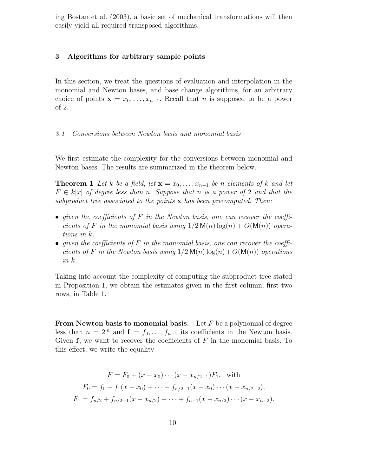ing Bostan et al. (2003), a basic set of mechanical transformations will then easily yield all required transposed algorithms.

## 3 Algorithms for arbitrary sample points

In this section, we treat the questions of evaluation and interpolation in the monomial and Newton bases, and base change algorithms, for an arbitrary choice of points  $\mathbf{x} = x_0, \ldots, x_{n-1}$ . Recall that *n* is supposed to be a power of 2.

### 3.1 Conversions between Newton basis and monomial basis

We first estimate the complexity for the conversions between monomial and Newton bases. The results are summarized in the theorem below.

**Theorem 1** Let k be a field, let  $\mathbf{x} = x_0, \ldots, x_{n-1}$  be n elements of k and let  $F \in k[x]$  of degree less than n. Suppose that n is a power of 2 and that the subproduct tree associated to the points  $x$  has been precomputed. Then:

- given the coefficients of F in the Newton basis, one can recover the coefficients of F in the monomial basis using  $1/2 M(n) \log(n) + O(M(n))$  operations in k.
- given the coefficients of F in the monomial basis, one can recover the coefficients of F in the Newton basis using  $1/2 M(n) \log(n) + O(M(n))$  operations in k.

Taking into account the complexity of computing the subproduct tree stated in Proposition 1, we obtain the estimates given in the first column, first two rows, in Table 1.

**From Newton basis to monomial basis.** Let  $F$  be a polynomial of degree less than  $n = 2^m$  and  $\mathbf{f} = f_0, \ldots, f_{n-1}$  its coefficients in the Newton basis. Given  $f$ , we want to recover the coefficients of  $F$  in the monomial basis. To this effect, we write the equality

$$
F = F_0 + (x - x_0) \cdots (x - x_{n/2-1}) F_1, \text{ with}
$$
  
\n
$$
F_0 = f_0 + f_1(x - x_0) + \cdots + f_{n/2-1}(x - x_0) \cdots (x - x_{n/2-2}),
$$
  
\n
$$
F_1 = f_{n/2} + f_{n/2+1}(x - x_{n/2}) + \cdots + f_{n-1}(x - x_{n/2}) \cdots (x - x_{n-2}).
$$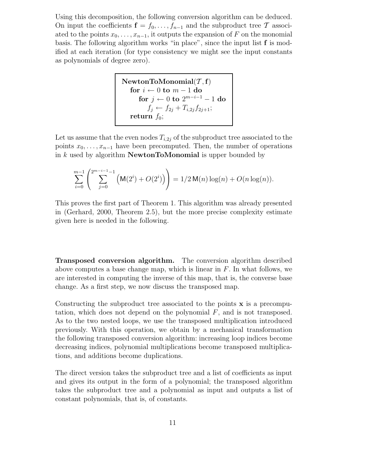Using this decomposition, the following conversion algorithm can be deduced. On input the coefficients  $\mathbf{f} = f_0, \ldots, f_{n-1}$  and the subproduct tree T associated to the points  $x_0, \ldots, x_{n-1}$ , it outputs the expansion of F on the monomial basis. The following algorithm works "in place", since the input list  $f$  is modified at each iteration (for type consistency we might see the input constants as polynomials of degree zero).

```
NewtonToMonomial(T, f)for i \leftarrow 0 to m-1 do
{\bf for} \ \ j \leftarrow 0 \ {\bf to} \ 2^{m-i-1} - 1 \ {\bf do}f_j \leftarrow f_{2j} + T_{i,2j}f_{2j+1};return f_0;
```
Let us assume that the even nodes  $T_{i,2j}$  of the subproduct tree associated to the points  $x_0, \ldots, x_{n-1}$  have been precomputed. Then, the number of operations in  $k$  used by algorithm **NewtonToMonomial** is upper bounded by

$$
\sum_{i=0}^{m-1} \left( \sum_{j=0}^{2^{m-i-1}-1} \left( \mathsf{M}(2^i) + O(2^i) \right) \right) = 1/2 \, \mathsf{M}(n) \log(n) + O(n \log(n)).
$$

This proves the first part of Theorem 1. This algorithm was already presented in (Gerhard, 2000, Theorem 2.5), but the more precise complexity estimate given here is needed in the following.

Transposed conversion algorithm. The conversion algorithm described above computes a base change map, which is linear in  $F$ . In what follows, we are interested in computing the inverse of this map, that is, the converse base change. As a first step, we now discuss the transposed map.

Constructing the subproduct tree associated to the points  $x$  is a precomputation, which does not depend on the polynomial  $F$ , and is not transposed. As to the two nested loops, we use the transposed multiplication introduced previously. With this operation, we obtain by a mechanical transformation the following transposed conversion algorithm: increasing loop indices become decreasing indices, polynomial multiplications become transposed multiplications, and additions become duplications.

The direct version takes the subproduct tree and a list of coefficients as input and gives its output in the form of a polynomial; the transposed algorithm takes the subproduct tree and a polynomial as input and outputs a list of constant polynomials, that is, of constants.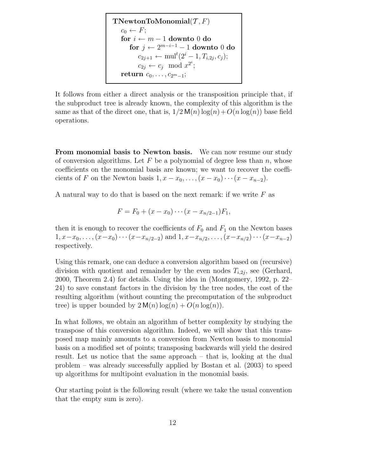$\operatorname{TNewtonToMonomial}(\mathcal{T},F)$  $c_0 \leftarrow F;$ for  $i \leftarrow m - 1$  downto 0 do  ${\rm for}\,\,j\leftarrow 2^{m-i-1}-1\,\,{\rm down to}\,\,0\,\,{\rm do}$  $c_{2j+1} \leftarrow \text{mul}^{t}(2^{i}-1, T_{i,2j}, c_j);$  $c_{2j} \leftarrow c_j \mod x^{2^i};$ return  $c_0, \ldots, c_{2^m-1}$ ;

It follows from either a direct analysis or the transposition principle that, if the subproduct tree is already known, the complexity of this algorithm is the same as that of the direct one, that is,  $1/2 M(n) \log(n) + O(n \log(n))$  base field operations.

From monomial basis to Newton basis. We can now resume our study of conversion algorithms. Let  $F$  be a polynomial of degree less than  $n$ , whose coefficients on the monomial basis are known; we want to recover the coefficients of F on the Newton basis  $1, x - x_0, \ldots, (x - x_0) \cdots (x - x_{n-2}).$ 

A natural way to do that is based on the next remark: if we write  $F$  as

$$
F = F_0 + (x - x_0) \cdots (x - x_{n/2-1}) F_1,
$$

then it is enough to recover the coefficients of  $F_0$  and  $F_1$  on the Newton bases  $1, x-x_0, \ldots, (x-x_0)\cdots (x-x_{n/2-2})$  and  $1, x-x_{n/2}, \ldots, (x-x_{n/2})\cdots (x-x_{n-2})$ respectively.

Using this remark, one can deduce a conversion algorithm based on (recursive) division with quotient and remainder by the even nodes  $T_{i,2j}$ , see (Gerhard, 2000, Theorem 2.4) for details. Using the idea in (Montgomery, 1992, p. 22– 24) to save constant factors in the division by the tree nodes, the cost of the resulting algorithm (without counting the precomputation of the subproduct tree) is upper bounded by  $2 M(n) \log(n) + O(n \log(n)).$ 

In what follows, we obtain an algorithm of better complexity by studying the transpose of this conversion algorithm. Indeed, we will show that this transposed map mainly amounts to a conversion from Newton basis to monomial basis on a modified set of points; transposing backwards will yield the desired result. Let us notice that the same approach – that is, looking at the dual problem – was already successfully applied by Bostan et al. (2003) to speed up algorithms for multipoint evaluation in the monomial basis.

Our starting point is the following result (where we take the usual convention that the empty sum is zero).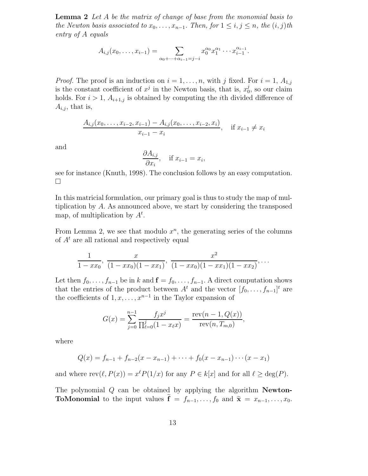**Lemma 2** Let A be the matrix of change of base from the monomial basis to the Newton basis associated to  $x_0, \ldots, x_{n-1}$ . Then, for  $1 \leq i, j \leq n$ , the  $(i, j)$ th entry of A equals

$$
A_{i,j}(x_0,\ldots,x_{i-1})=\sum_{\alpha_0+\cdots+\alpha_{i-1}=j-i}x_0^{\alpha_0}x_1^{\alpha_1}\cdots x_{i-1}^{\alpha_{i-1}}.
$$

*Proof.* The proof is an induction on  $i = 1, \ldots, n$ , with j fixed. For  $i = 1, A_{1,j}$ is the constant coefficient of  $x^j$  in the Newton basis, that is,  $x_0^j$  $_0^j$ , so our claim holds. For  $i > 1$ ,  $A_{i+1,j}$  is obtained by computing the *i*th divided difference of  $A_{i,j}$ , that is,

$$
\frac{A_{i,j}(x_0,\ldots,x_{i-2},x_{i-1}) - A_{i,j}(x_0,\ldots,x_{i-2},x_i)}{x_{i-1} - x_i}, \quad \text{if } x_{i-1} \neq x_i
$$

and

$$
\frac{\partial A_{i,j}}{\partial x_i}, \quad \text{if } x_{i-1} = x_i,
$$

see for instance (Knuth, 1998). The conclusion follows by an easy computation.  $\Box$ 

In this matricial formulation, our primary goal is thus to study the map of multiplication by A. As announced above, we start by considering the transposed map, of multiplication by  $A^t$ .

From Lemma 2, we see that modulo  $x^n$ , the generating series of the columns of  $A<sup>t</sup>$  are all rational and respectively equal

$$
\frac{1}{1 - xx_0}, \frac{x}{(1 - xx_0)(1 - xx_1)}, \frac{x^2}{(1 - xx_0)(1 - xx_1)(1 - xx_2)}, \ldots
$$

Let then  $f_0, \ldots, f_{n-1}$  be in k and  $\mathbf{f} = f_0, \ldots, f_{n-1}$ . A direct computation shows that the entries of the product between  $A^t$  and the vector  $[f_0, \ldots, f_{n-1}]^t$  are the coefficients of  $1, x, \ldots, x^{n-1}$  in the Taylor expansion of

$$
G(x) = \sum_{j=0}^{n-1} \frac{f_j x^j}{\prod_{\ell=0}^j (1 - x_\ell x)} = \frac{\text{rev}(n-1, Q(x))}{\text{rev}(n, T_{m,0})},
$$

where

$$
Q(x) = f_{n-1} + f_{n-2}(x - x_{n-1}) + \cdots + f_0(x - x_{n-1}) \cdots (x - x_1)
$$

and where  $rev(\ell, P(x)) = x^{\ell} P(1/x)$  for any  $P \in k[x]$  and for all  $\ell \geq deg(P)$ .

The polynomial Q can be obtained by applying the algorithm **Newton-ToMonomial** to the input values  $\tilde{\mathbf{f}} = f_{n-1}, \ldots, f_0$  and  $\tilde{\mathbf{x}} = x_{n-1}, \ldots, x_0$ .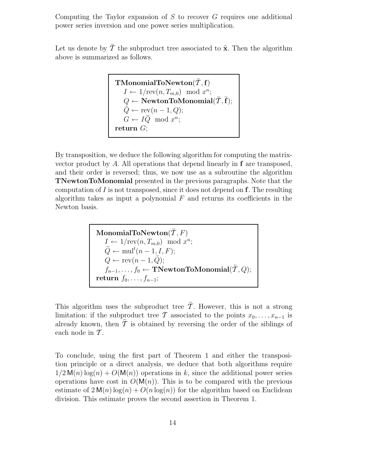Computing the Taylor expansion of  $S$  to recover  $G$  requires one additional power series inversion and one power series multiplication.

Let us denote by  $\widetilde{T}$  the subproduct tree associated to  $\widetilde{\mathbf{x}}$ . Then the algorithm above is summarized as follows.

```
\mathbf T\mathbf{MonomialToNewton}(\mathcal{T},\mathbf{f})I \leftarrow 1/\text{rev}(n, T_{m,0}) \mod x^n;Q \leftarrow \textbf{NewtonToMonomial}(\mathcal{T}, \mathbf{f});Q \leftarrow \text{rev}(n-1, Q);G \leftarrow \overline{IQ} \mod x^n;return G;
```
By transposition, we deduce the following algorithm for computing the matrixvector product by  $A$ . All operations that depend linearly in  $f$  are transposed, and their order is reversed; thus, we now use as a subroutine the algorithm TNewtonToMonomial presented in the previous paragraphs. Note that the computation of I is not transposed, since it does not depend on  $f$ . The resulting algorithm takes as input a polynomial  $F$  and returns its coefficients in the Newton basis.

> $\mathbf M$ onomial $\mathbf T$ o $\mathbf N$ ew $\mathbf{ton}(\mathcal T, F)$  $I \leftarrow 1/\text{rev}(n, T_{m,0}) \mod x^n;$  $\widetilde{Q} \leftarrow \text{mul}^t(n-1, I, F);$  $Q \leftarrow \text{rev}(n-1, Q);$  $f_{n-1},\ldots,f_0 \leftarrow \textbf{TNewtonToMonomial}(\mathcal{T},Q);$ return  $f_0, \ldots, f_{n-1}$ ;

This algorithm uses the subproduct tree  $\tilde{\mathcal{T}}$ . However, this is not a strong limitation: if the subproduct tree T associated to the points  $x_0, \ldots, x_{n-1}$  is already known, then  $\tilde{T}$  is obtained by reversing the order of the siblings of each node in  $\mathcal T$ .

To conclude, using the first part of Theorem 1 and either the transposition principle or a direct analysis, we deduce that both algorithms require  $1/2 M(n) \log(n) + O(M(n))$  operations in k, since the additional power series operations have cost in  $O(M(n))$ . This is to be compared with the previous estimate of  $2 M(n) \log(n) + O(n \log(n))$  for the algorithm based on Euclidean division. This estimate proves the second assertion in Theorem 1.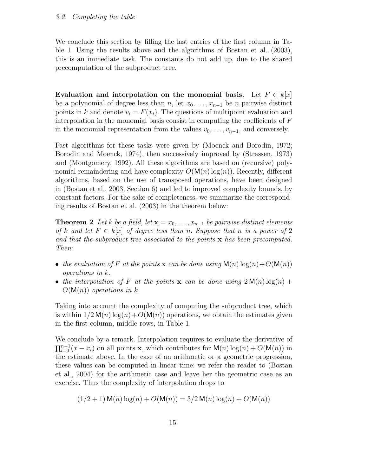We conclude this section by filling the last entries of the first column in Table 1. Using the results above and the algorithms of Bostan et al. (2003), this is an immediate task. The constants do not add up, due to the shared precomputation of the subproduct tree.

Evaluation and interpolation on the monomial basis. Let  $F \in k[x]$ be a polynomial of degree less than n, let  $x_0, \ldots, x_{n-1}$  be n pairwise distinct points in k and denote  $v_i = F(x_i)$ . The questions of multipoint evaluation and interpolation in the monomial basis consist in computing the coefficients of  $F$ in the monomial representation from the values  $v_0, \ldots, v_{n-1}$ , and conversely.

Fast algorithms for these tasks were given by (Moenck and Borodin, 1972; Borodin and Moenck, 1974), then successively improved by (Strassen, 1973) and (Montgomery, 1992). All these algorithms are based on (recursive) polynomial remaindering and have complexity  $O(M(n) \log(n))$ . Recently, different algorithms, based on the use of transposed operations, have been designed in (Bostan et al., 2003, Section 6) and led to improved complexity bounds, by constant factors. For the sake of completeness, we summarize the corresponding results of Bostan et al. (2003) in the theorem below:

**Theorem 2** Let k be a field, let  $\mathbf{x} = x_0, \ldots, x_{n-1}$  be pairwise distinct elements of k and let  $F \in k[x]$  of degree less than n. Suppose that n is a power of 2 and that the subproduct tree associated to the points  $\bf{x}$  has been precomputed. Then:

- the evaluation of F at the points **x** can be done using  $M(n) \log(n) + O(M(n))$ operations in k.
- the interpolation of F at the points **x** can be done using  $2 M(n) \log(n)$  +  $O(M(n))$  operations in k.

Taking into account the complexity of computing the subproduct tree, which is within  $1/2 M(n) \log(n) + O(M(n))$  operations, we obtain the estimates given in the first column, middle rows, in Table 1.

We conclude by a remark. Interpolation requires to evaluate the derivative of  $\prod_{i=0}^{n-1} (x - x_i)$  on all points **x**, which contributes for  $M(n) \log(n) + O(M(n))$  in the estimate above. In the case of an arithmetic or a geometric progression, these values can be computed in linear time: we refer the reader to (Bostan et al., 2004) for the arithmetic case and leave her the geometric case as an exercise. Thus the complexity of interpolation drops to

$$
(1/2 + 1) M(n) \log(n) + O(M(n)) = 3/2 M(n) \log(n) + O(M(n))
$$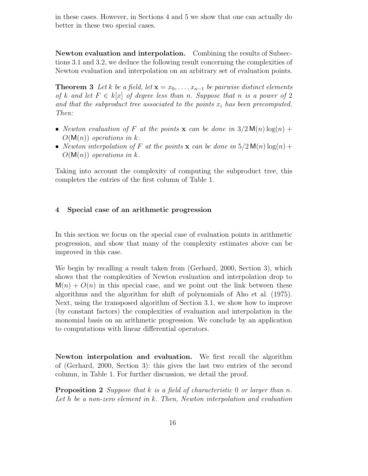in these cases. However, in Sections 4 and 5 we show that one can actually do better in these two special cases.

Newton evaluation and interpolation. Combining the results of Subsections 3.1 and 3.2, we deduce the following result concerning the complexities of Newton evaluation and interpolation on an arbitrary set of evaluation points.

**Theorem 3** Let k be a field, let  $\mathbf{x} = x_0, \ldots, x_{n-1}$  be pairwise distinct elements of k and let  $F \in k[x]$  of degree less than n. Suppose that n is a power of 2 and that the subproduct tree associated to the points  $x_i$  has been precomputed. Then:

- Newton evaluation of F at the points  $x$  can be done in  $3/2 M(n) \log(n)$  +  $O(M(n))$  operations in k.
- Newton interpolation of F at the points **x** can be done in  $5/2 M(n) \log(n) +$  $O(M(n))$  operations in k.

Taking into account the complexity of computing the subproduct tree, this completes the entries of the first column of Table 1.

# 4 Special case of an arithmetic progression

In this section we focus on the special case of evaluation points in arithmetic progression, and show that many of the complexity estimates above can be improved in this case.

We begin by recalling a result taken from (Gerhard, 2000, Section 3), which shows that the complexities of Newton evaluation and interpolation drop to  $M(n) + O(n)$  in this special case, and we point out the link between these algorithms and the algorithm for shift of polynomials of Aho et al. (1975). Next, using the transposed algorithm of Section 3.1, we show how to improve (by constant factors) the complexities of evaluation and interpolation in the monomial basis on an arithmetic progression. We conclude by an application to computations with linear differential operators.

Newton interpolation and evaluation. We first recall the algorithm of (Gerhard, 2000, Section 3): this gives the last two entries of the second column, in Table 1. For further discussion, we detail the proof.

**Proposition 2** Suppose that k is a field of characteristic 0 or larger than n. Let  $h$  be a non-zero element in  $k$ . Then, Newton interpolation and evaluation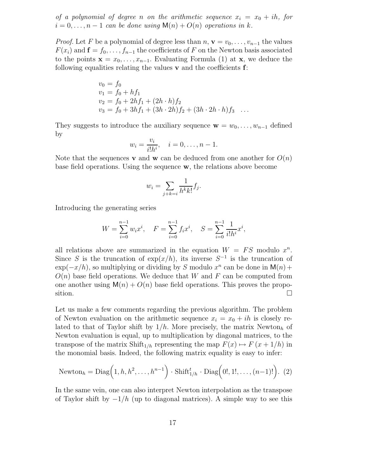of a polynomial of degree n on the arithmetic sequence  $x_i = x_0 + ih$ , for  $i = 0, \ldots, n - 1$  can be done using  $\mathsf{M}(n) + O(n)$  operations in k.

*Proof.* Let F be a polynomial of degree less than  $n, \mathbf{v} = v_0, \ldots, v_{n-1}$  the values  $F(x_i)$  and  $\mathbf{f} = f_0, \ldots, f_{n-1}$  the coefficients of F on the Newton basis associated to the points  $\mathbf{x} = x_0, \ldots, x_{n-1}$ . Evaluating Formula (1) at  $\mathbf{x}$ , we deduce the following equalities relating the values  $\bf{v}$  and the coefficients  $\bf{f}$ :

$$
v_0 = f_0
$$
  
\n
$$
v_1 = f_0 + h f_1
$$
  
\n
$$
v_2 = f_0 + 2h f_1 + (2h \cdot h) f_2
$$
  
\n
$$
v_3 = f_0 + 3h f_1 + (3h \cdot 2h) f_2 + (3h \cdot 2h \cdot h) f_3
$$
 ...

They suggests to introduce the auxiliary sequence  $\mathbf{w} = w_0, \ldots, w_{n-1}$  defined by

$$
w_i = \frac{v_i}{i!h^i}, \quad i = 0, \dots, n-1.
$$

Note that the sequences **v** and **w** can be deduced from one another for  $O(n)$ base field operations. Using the sequence w, the relations above become

$$
w_i = \sum_{j+k=i} \frac{1}{h^k k!} f_j.
$$

Introducing the generating series

$$
W = \sum_{i=0}^{n-1} w_i x^i, \quad F = \sum_{i=0}^{n-1} f_i x^i, \quad S = \sum_{i=0}^{n-1} \frac{1}{i! h^i} x^i,
$$

all relations above are summarized in the equation  $W = FS$  modulo  $x^n$ . Since S is the truncation of  $exp(x/h)$ , its inverse  $S^{-1}$  is the truncation of  $\exp(-x/h)$ , so multiplying or dividing by S modulo  $x^n$  can be done in  $\mathsf{M}(n)$  +  $O(n)$  base field operations. We deduce that W and F can be computed from one another using  $M(n) + O(n)$  base field operations. This proves the proposition.  $\Box$ 

Let us make a few comments regarding the previous algorithm. The problem of Newton evaluation on the arithmetic sequence  $x_i = x_0 + ih$  is closely related to that of Taylor shift by  $1/h$ . More precisely, the matrix Newton<sub>h</sub> of Newton evaluation is equal, up to multiplication by diagonal matrices, to the transpose of the matrix  $\text{Shift}_{1/h}$  representing the map  $F(x) \mapsto F(x + 1/h)$  in the monomial basis. Indeed, the following matrix equality is easy to infer:

$$
\text{Newton}_h = \text{Diag}\Big(1, h, h^2, \dots, h^{n-1}\Big) \cdot \text{Shift}_{1/h}^t \cdot \text{Diag}\Big(0!, 1!, \dots, (n-1)!\Big). \tag{2}
$$

In the same vein, one can also interpret Newton interpolation as the transpose of Taylor shift by  $-1/h$  (up to diagonal matrices). A simple way to see this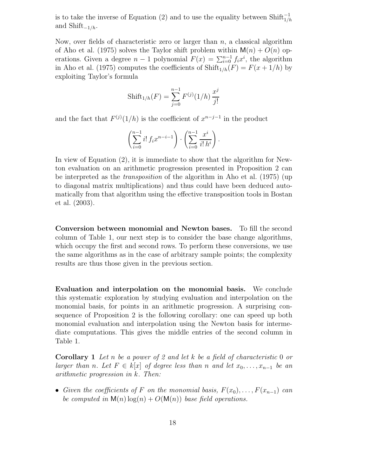is to take the inverse of Equation (2) and to use the equality between  $\text{Shift}_{1/h}^{-1}$ and Shift<sub>-1/h</sub>.

Now, over fields of characteristic zero or larger than  $n$ , a classical algorithm of Aho et al. (1975) solves the Taylor shift problem within  $M(n) + O(n)$  operations. Given a degree  $n-1$  polynomial  $F(x) = \sum_{i=0}^{n-1} f_i x^i$ , the algorithm in Aho et al. (1975) computes the coefficients of  $\text{Shift}_{1/h}(F) = F(x + 1/h)$  by exploiting Taylor's formula

Shift<sub>1/h</sub>(F) = 
$$
\sum_{j=0}^{n-1} F^{(j)}(1/h) \frac{x^j}{j!}
$$

and the fact that  $F^{(j)}(1/h)$  is the coefficient of  $x^{n-j-1}$  in the product

$$
\left(\sum_{i=0}^{n-1} i! \, f_i x^{n-i-1}\right) \cdot \left(\sum_{i=0}^{n-1} \frac{x^i}{i! \, h^i}\right).
$$

In view of Equation (2), it is immediate to show that the algorithm for Newton evaluation on an arithmetic progression presented in Proposition 2 can be interpreted as the transposition of the algorithm in Aho et al. (1975) (up to diagonal matrix multiplications) and thus could have been deduced automatically from that algorithm using the effective transposition tools in Bostan et al. (2003).

Conversion between monomial and Newton bases. To fill the second column of Table 1, our next step is to consider the base change algorithms, which occupy the first and second rows. To perform these conversions, we use the same algorithms as in the case of arbitrary sample points; the complexity results are thus those given in the previous section.

Evaluation and interpolation on the monomial basis. We conclude this systematic exploration by studying evaluation and interpolation on the monomial basis, for points in an arithmetic progression. A surprising consequence of Proposition 2 is the following corollary: one can speed up both monomial evaluation and interpolation using the Newton basis for intermediate computations. This gives the middle entries of the second column in Table 1.

**Corollary 1** Let n be a power of 2 and let k be a field of characteristic 0 or larger than n. Let  $F \in k[x]$  of degree less than n and let  $x_0, \ldots, x_{n-1}$  be an arithmetic progression in k. Then:

• Given the coefficients of F on the monomial basis,  $F(x_0), \ldots, F(x_{n-1})$  can be computed in  $M(n) \log(n) + O(M(n))$  base field operations.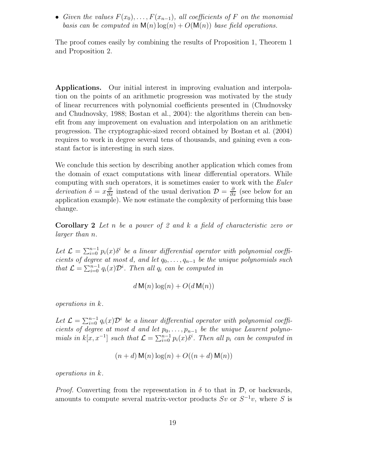• Given the values  $F(x_0), \ldots, F(x_{n-1})$ , all coefficients of F on the monomial basis can be computed in  $\mathsf{M}(n) \log(n) + O(\mathsf{M}(n))$  base field operations.

The proof comes easily by combining the results of Proposition 1, Theorem 1 and Proposition 2.

Applications. Our initial interest in improving evaluation and interpolation on the points of an arithmetic progression was motivated by the study of linear recurrences with polynomial coefficients presented in (Chudnovsky and Chudnovsky, 1988; Bostan et al., 2004): the algorithms therein can benefit from any improvement on evaluation and interpolation on an arithmetic progression. The cryptographic-sized record obtained by Bostan et al. (2004) requires to work in degree several tens of thousands, and gaining even a constant factor is interesting in such sizes.

We conclude this section by describing another application which comes from the domain of exact computations with linear differential operators. While computing with such operators, it is sometimes easier to work with the Euler derivation  $\delta = x \frac{\partial}{\partial x}$  instead of the usual derivation  $\mathcal{D} = \frac{\partial}{\partial x}$  (see below for an application example). We now estimate the complexity of performing this base change.

**Corollary 2** Let n be a power of 2 and k a field of characteristic zero or larger than n.

Let  $\mathcal{L} = \sum_{i=0}^{n-1} p_i(x) \delta^i$  be a linear differential operator with polynomial coefficients of degree at most d, and let  $q_0, \ldots, q_{n-1}$  be the unique polynomials such that  $\mathcal{L} = \sum_{i=0}^{n-1} q_i(x) \mathcal{D}^i$ . Then all  $q_i$  can be computed in

$$
d\mathsf{M}(n)\log(n) + O(d\mathsf{M}(n))
$$

operations in k.

Let  $\mathcal{L} = \sum_{i=0}^{n-1} q_i(x) \mathcal{D}^i$  be a linear differential operator with polynomial coefficients of degree at most d and let  $p_0, \ldots, p_{n-1}$  be the unique Laurent polynomials in  $k[x, x^{-1}]$  such that  $\mathcal{L} = \sum_{i=0}^{n-1} p_i(x) \delta^i$ . Then all  $p_i$  can be computed in

$$
(n+d)\mathsf{M}(n)\log(n) + O((n+d)\mathsf{M}(n))
$$

operations in k.

*Proof.* Converting from the representation in  $\delta$  to that in  $\mathcal{D}$ , or backwards, amounts to compute several matrix-vector products  $S_v$  or  $S^{-1}v$ , where S is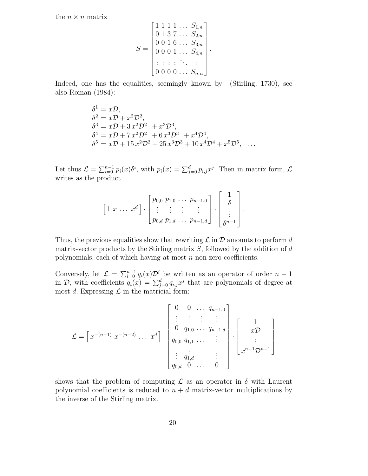the  $n \times n$  matrix

$$
S = \begin{bmatrix} 1 & 1 & 1 & 1 & \dots & S_{1,n} \\ 0 & 1 & 3 & 7 & \dots & S_{2,n} \\ 0 & 0 & 1 & 6 & \dots & S_{3,n} \\ 0 & 0 & 0 & 1 & \dots & S_{4,n} \\ \vdots & \vdots & \vdots & \ddots & \vdots \\ 0 & 0 & 0 & 0 & \dots & S_{n,n} \end{bmatrix}.
$$

 $\overline{\Gamma}$  and an analyzing the state of  $\overline{\Gamma}$ 

Indeed, one has the equalities, seemingly known by (Stirling, 1730), see also Roman (1984):

$$
\delta^{1} = xD,\n\delta^{2} = xD + x^{2}D^{2},\n\delta^{3} = xD + 3 x^{2}D^{2} + x^{3}D^{3},\n\delta^{4} = xD + 7 x^{2}D^{2} + 6 x^{3}D^{3} + x^{4}D^{4},\n\delta^{5} = xD + 15 x^{2}D^{2} + 25 x^{3}D^{3} + 10 x^{4}D^{4} + x^{5}D^{5}, \dots
$$

Let thus  $\mathcal{L} = \sum_{i=0}^{n-1} p_i(x) \delta^i$ , with  $p_i(x) = \sum_{j=0}^d p_{i,j} x^j$ . Then in matrix form,  $\mathcal{L}$ writes as the product

$$
\begin{bmatrix} 1 & x & \dots & x^d \end{bmatrix} \cdot \begin{bmatrix} p_{0,0} & p_{1,0} & \dots & p_{n-1,0} \\ \vdots & \vdots & \vdots & \vdots \\ p_{0,d} & p_{1,d} & \dots & p_{n-1,d} \end{bmatrix} \cdot \begin{bmatrix} 1 \\ \delta \\ \vdots \\ \delta^{n-1} \end{bmatrix}.
$$

Thus, the previous equalities show that rewriting  $\mathcal L$  in  $\mathcal D$  amounts to perform d matrix-vector products by the Stirling matrix  $S$ , followed by the addition of  $d$ polynomials, each of which having at most  $n$  non-zero coefficients.

Conversely, let  $\mathcal{L} = \sum_{i=0}^{n-1} q_i(x) \mathcal{D}^i$  be written as an operator of order  $n-1$ in D, with coefficients  $q_i(x) = \sum_{j=0}^d q_{i,j} x^j$  that are polynomials of degree at most d. Expressing  $\mathcal L$  in the matricial form:

$$
\mathcal{L} = \begin{bmatrix} x^{-(n-1)} & x^{-(n-2)} & \dots & x^d \end{bmatrix} \cdot \begin{bmatrix} 0 & 0 & \dots & q_{n-1,0} \\ \vdots & \vdots & \vdots & \vdots \\ 0 & q_{1,0} & \dots & q_{n-1,d} \\ q_{0,0} & q_{1,1} & \dots & \vdots \\ \vdots & \vdots & \vdots & \vdots \\ q_{0,d} & 0 & \dots & 0 \end{bmatrix} \cdot \begin{bmatrix} 1 \\ x\mathcal{D} \\ \vdots \\ x^{n-1}\mathcal{D}^{n-1} \end{bmatrix}
$$

shows that the problem of computing  $\mathcal L$  as an operator in  $\delta$  with Laurent polynomial coefficients is reduced to  $n + d$  matrix-vector multiplications by the inverse of the Stirling matrix.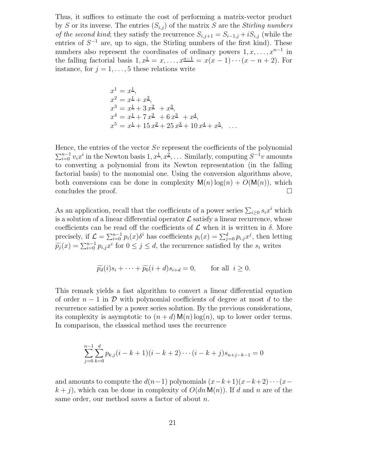Thus, it suffices to estimate the cost of performing a matrix-vector product by S or its inverse. The entries  $(S_{i,j})$  of the matrix S are the Stirling numbers of the second kind; they satisfy the recurrence  $S_{i,j+1} = S_{i-1,j} + iS_{i,j}$  (while the entries of  $S^{-1}$  are, up to sign, the Stirling numbers of the first kind). These numbers also represent the coordinates of ordinary powers  $1, x, \ldots, x^{n-1}$  in the falling factorial basis  $1, x^{\underline{1}} = x, \ldots, x^{\underline{n-1}} = x(x-1)\cdots(x-n+2)$ . For instance, for  $j = 1, \ldots, 5$  these relations write

$$
x1 = x1,\n x2 = x1 + x2,\n x3 = x1 + 3 x2 + x3,\n x4 = x1 + 7 x2 + 6 x3 + x4,\n x5 = x1 + 15 x2 + 25 x3 + 10 x4 + x5, ...
$$

Hence, the entries of the vector  $Sv$  represent the coefficients of the polynomial  $\sum_{i=0}^{n-1} v_i x^i$  in the Newton basis  $1, x^{\underline{1}}, x^{\underline{2}}, \dots$  Similarly, computing  $S^{-1}v$  amounts to converting a polynomial from its Newton representation (in the falling factorial basis) to the monomial one. Using the conversion algorithms above, both conversions can be done in complexity  $M(n) \log(n) + O(M(n))$ , which concludes the proof.  $\Box$ 

As an application, recall that the coefficients of a power series  $\sum_{i\geq 0} s_i x^i$  which is a solution of a linear differential operator  $\mathcal L$  satisfy a linear recurrence, whose coefficients can be read off the coefficients of  $\mathcal L$  when it is written in  $\delta$ . More precisely, if  $\mathcal{L} = \sum_{i=0}^{n-1} p_i(x) \delta^i$  has coefficients  $p_i(x) = \sum_{j=0}^{d} p_{i,j} x^j$ , then letting  $\widetilde{p_j}(x) = \sum_{i=0}^{n-1} p_{i,j} x^i$  for  $0 \le j \le d$ , the recurrence satisfied by the  $s_i$  writes

$$
\widetilde{p_d}(i)s_i + \cdots + \widetilde{p_0}(i+d)s_{i+d} = 0, \quad \text{for all } i \ge 0.
$$

This remark yields a fast algorithm to convert a linear differential equation of order  $n-1$  in D with polynomial coefficients of degree at most d to the recurrence satisfied by a power series solution. By the previous considerations, its complexity is asymptotic to  $(n + d)$   $M(n)$  log(n), up to lower order terms. In comparison, the classical method uses the recurrence

$$
\sum_{j=0}^{n-1} \sum_{k=0}^{d} p_{k,j} (i - k + 1)(i - k + 2) \cdots (i - k + j) s_{n+j-k-1} = 0
$$

and amounts to compute the  $d(n-1)$  polynomials  $(x-k+1)(x-k+2)\cdots(x-1)$  $k + i$ , which can be done in complexity of  $O(d n \mathsf{M}(n))$ . If d and n are of the same order, our method saves a factor of about n.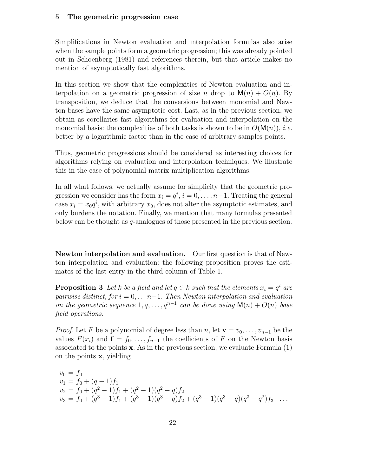Simplifications in Newton evaluation and interpolation formulas also arise when the sample points form a geometric progression; this was already pointed out in Schoenberg (1981) and references therein, but that article makes no mention of asymptotically fast algorithms.

In this section we show that the complexities of Newton evaluation and interpolation on a geometric progression of size n drop to  $M(n) + O(n)$ . By transposition, we deduce that the conversions between monomial and Newton bases have the same asymptotic cost. Last, as in the previous section, we obtain as corollaries fast algorithms for evaluation and interpolation on the monomial basis: the complexities of both tasks is shown to be in  $O(M(n))$ , *i.e.* better by a logarithmic factor than in the case of arbitrary samples points.

Thus, geometric progressions should be considered as interesting choices for algorithms relying on evaluation and interpolation techniques. We illustrate this in the case of polynomial matrix multiplication algorithms.

In all what follows, we actually assume for simplicity that the geometric progression we consider has the form  $x_i = q^i$ ,  $i = 0, \ldots, n-1$ . Treating the general case  $x_i = x_0 q^i$ , with arbitrary  $x_0$ , does not alter the asymptotic estimates, and only burdens the notation. Finally, we mention that many formulas presented below can be thought as q-analogues of those presented in the previous section.

Newton interpolation and evaluation. Our first question is that of Newton interpolation and evaluation: the following proposition proves the estimates of the last entry in the third column of Table 1.

**Proposition 3** Let k be a field and let  $q \in k$  such that the elements  $x_i = q^i$  are pairwise distinct, for  $i = 0, \ldots n-1$ . Then Newton interpolation and evaluation on the geometric sequence  $1, q, \ldots, q^{n-1}$  can be done using  $\mathsf{M}(n) + O(n)$  base field operations.

*Proof.* Let F be a polynomial of degree less than n, let  $\mathbf{v} = v_0, \ldots, v_{n-1}$  be the values  $F(x_i)$  and  $\mathbf{f} = f_0, \ldots, f_{n-1}$  the coefficients of F on the Newton basis associated to the points  $x$ . As in the previous section, we evaluate Formula  $(1)$ on the points x, yielding

$$
v_0 = f_0
$$
  
\n
$$
v_1 = f_0 + (q - 1)f_1
$$
  
\n
$$
v_2 = f_0 + (q^2 - 1)f_1 + (q^2 - 1)(q^2 - q)f_2
$$
  
\n
$$
v_3 = f_0 + (q^3 - 1)f_1 + (q^3 - 1)(q^3 - q)f_2 + (q^3 - 1)(q^3 - q)(q^3 - q^2)f_3
$$
 ...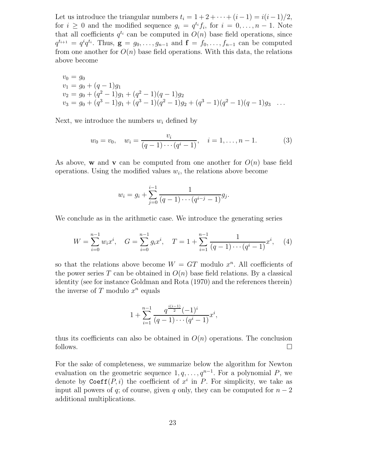Let us introduce the triangular numbers  $t_i = 1 + 2 + \cdots + (i-1) = i(i-1)/2$ , for  $i \geq 0$  and the modified sequence  $g_i = q^{t_i} f_i$ , for  $i = 0, \ldots, n-1$ . Note that all coefficients  $q^{t_i}$  can be computed in  $O(n)$  base field operations, since  $q^{t_{i+1}} = q^{i}q^{t_i}$ . Thus,  $\mathbf{g} = g_0, \ldots, g_{n-1}$  and  $\mathbf{f} = f_0, \ldots, f_{n-1}$  can be computed from one another for  $O(n)$  base field operations. With this data, the relations above become

$$
v_0 = g_0
$$
  
\n
$$
v_1 = g_0 + (q - 1)g_1
$$
  
\n
$$
v_2 = g_0 + (q^2 - 1)g_1 + (q^2 - 1)(q - 1)g_2
$$
  
\n
$$
v_3 = g_0 + (q^3 - 1)g_1 + (q^3 - 1)(q^2 - 1)g_2 + (q^3 - 1)(q^2 - 1)(q - 1)g_3
$$
 ...

Next, we introduce the numbers  $w_i$  defined by

$$
w_0 = v_0, \quad w_i = \frac{v_i}{(q-1)\cdots(q^i-1)}, \quad i = 1, \ldots, n-1.
$$
 (3)

As above, w and v can be computed from one another for  $O(n)$  base field operations. Using the modified values  $w_i$ , the relations above become

$$
w_i = g_i + \sum_{j=0}^{i-1} \frac{1}{(q-1)\cdots(q^{i-j}-1)} g_j.
$$

We conclude as in the arithmetic case. We introduce the generating series

$$
W = \sum_{i=0}^{n-1} w_i x^i, \quad G = \sum_{i=0}^{n-1} g_i x^i, \quad T = 1 + \sum_{i=1}^{n-1} \frac{1}{(q-1)\cdots(q^i-1)} x^i,
$$
 (4)

so that the relations above become  $W = GT$  modulo  $x<sup>n</sup>$ . All coefficients of the power series T can be obtained in  $O(n)$  base field relations. By a classical identity (see for instance Goldman and Rota (1970) and the references therein) the inverse of  $T$  modulo  $x^n$  equals

$$
1 + \sum_{i=1}^{n-1} \frac{q^{\frac{i(i-1)}{2}} (-1)^i}{(q-1)\cdots(q^i-1)} x^i,
$$

thus its coefficients can also be obtained in  $O(n)$  operations. The conclusion follows.  $\Box$ 

For the sake of completeness, we summarize below the algorithm for Newton evaluation on the geometric sequence  $1, q, \ldots, q^{n-1}$ . For a polynomial P, we denote by  $\text{Coeff}(P, i)$  the coefficient of  $x^i$  in P. For simplicity, we take as input all powers of q; of course, given q only, they can be computed for  $n-2$ additional multiplications.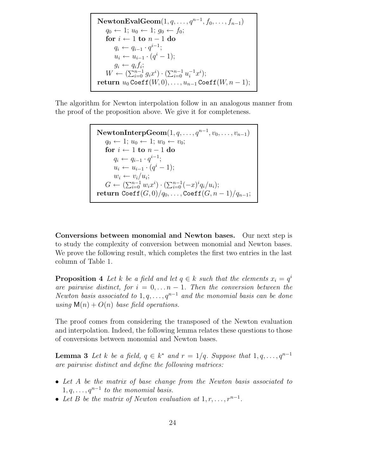NewtonEvalGeom(1, 
$$
q, \ldots, q^{n-1}, f_0, \ldots, f_{n-1}
$$
)  
\n $q_0 \leftarrow 1; u_0 \leftarrow 1; g_0 \leftarrow f_0;$   
\nfor  $i \leftarrow 1$  to  $n-1$  do  
\n $q_i \leftarrow q_{i-1} \cdot q^{i-1};$   
\n $u_i \leftarrow u_{i-1} \cdot (q^i - 1);$   
\n $g_i \leftarrow q_i f_i;$   
\n $W \leftarrow (\sum_{i=0}^{n-1} g_i x^i) \cdot (\sum_{i=0}^{n-1} u_i^{-1} x^i);$   
\nreturn  $u_0 \operatorname{Coeff}(W, 0), \ldots, u_{n-1} \operatorname{Coeff}(W, n-1);$ 

The algorithm for Newton interpolation follow in an analogous manner from the proof of the proposition above. We give it for completeness.

```
\mathbf{NewtonInterpGeom}(1, q, \ldots, q^{n-1}, v_0, \ldots, v_{n-1})q_0 \leftarrow 1; u_0 \leftarrow 1; w_0 \leftarrow v_0;for i \leftarrow 1 to n-1 do
 q_i \leftarrow q_{i-1} \cdot q^{i-1};u_i \leftarrow u_{i-1} \cdot (q^i - 1);w_i \leftarrow v_i/u_i;G \leftarrow (\sum_{i=0}^{n-1} w_i x^i) \cdot (\sum_{i=0}^{n-1} (-x)^i q_i / u_i);{\bf return}\ \, {\sf Coeff}(G,0)/q_0,\ldots,{\sf Coeff}(G,n-1)/q_{n-1};
```
Conversions between monomial and Newton bases. Our next step is to study the complexity of conversion between monomial and Newton bases. We prove the following result, which completes the first two entries in the last column of Table 1.

**Proposition 4** Let k be a field and let  $q \in k$  such that the elements  $x_i = q^i$ are pairwise distinct, for  $i = 0, \ldots n - 1$ . Then the conversion between the Newton basis associated to  $1, q, \ldots, q^{n-1}$  and the monomial basis can be done using  $M(n) + O(n)$  base field operations.

The proof comes from considering the transposed of the Newton evaluation and interpolation. Indeed, the following lemma relates these questions to those of conversions between monomial and Newton bases.

**Lemma 3** Let k be a field,  $q \in k^*$  and  $r = 1/q$ . Suppose that  $1, q, \ldots, q^{n-1}$ are pairwise distinct and define the following matrices:

- Let A be the matrix of base change from the Newton basis associated to  $1, q, \ldots, q^{n-1}$  to the monomial basis.
- Let B be the matrix of Newton evaluation at  $1, r, \ldots, r^{n-1}$ .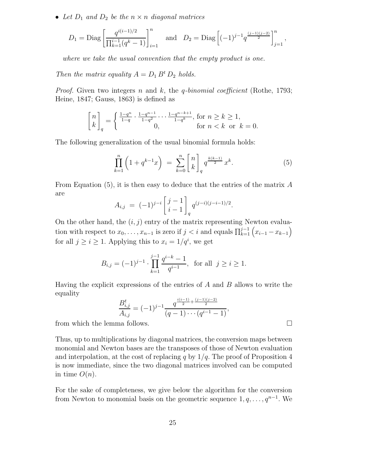• Let  $D_1$  and  $D_2$  be the  $n \times n$  diagonal matrices

$$
D_1 = \text{Diag}\left[\frac{q^{i(i-1)/2}}{\prod_{k=1}^{i-1}(q^k - 1)}\right]_{i=1}^n \quad \text{and} \quad D_2 = \text{Diag}\left[(-1)^{j-1}q^{\frac{(j-1)(j-2)}{2}}\right]_{j=1}^n,
$$

where we take the usual convention that the empty product is one.

Then the matrix equality  $A = D_1 B^t D_2$  holds.

*Proof.* Given two integers n and k, the q-binomial coefficient (Rothe, 1793; Heine, 1847; Gauss, 1863) is defined as

$$
\begin{bmatrix} n \\ k \end{bmatrix}_q = \begin{cases} \frac{1-q^n}{1-q} \cdot \frac{1-q^{n-1}}{1-q^2} \cdots \frac{1-q^{n-k+1}}{1-q^k}, \text{ for } n \ge k \ge 1, \\ 0, \quad \text{ for } n < k \text{ or } k = 0. \end{cases}
$$

The following generalization of the usual binomial formula holds:

$$
\prod_{k=1}^{n} \left( 1 + q^{k-1} x \right) \ = \ \sum_{k=0}^{n} \left[ \begin{array}{c} n \\ k \end{array} \right]_{q} q^{\frac{k(k-1)}{2}} x^{k} . \tag{5}
$$

From Equation  $(5)$ , it is then easy to deduce that the entries of the matrix A are

$$
A_{i,j} = (-1)^{j-i} \begin{bmatrix} j-1 \\ i-1 \end{bmatrix}_q q^{(j-i)(j-i-1)/2}.
$$

On the other hand, the  $(i, j)$  entry of the matrix representing Newton evaluation with respect to  $x_0, \ldots, x_{n-1}$  is zero if  $j < i$  and equals  $\prod_{k=1}^{j-1} (x_{i-1} - x_{k-1})$ for all  $j \ge i \ge 1$ . Applying this to  $x_i = 1/q^i$ , we get

$$
B_{i,j} = (-1)^{j-1} \cdot \prod_{k=1}^{j-1} \frac{q^{i-k} - 1}{q^{i-1}}, \text{ for all } j \ge i \ge 1.
$$

Having the explicit expressions of the entries of  $A$  and  $B$  allows to write the equality

$$
\frac{B_{i,j}^t}{A_{i,j}} = (-1)^{j-1} \frac{q^{\frac{i(i-1)}{2} + \frac{(j-1)(j-2)}{2}}}{(q-1)\cdots(q^{i-1}-1)},
$$

from which the lemma follows.  $\square$ 

Thus, up to multiplications by diagonal matrices, the conversion maps between monomial and Newton bases are the transposes of those of Newton evaluation and interpolation, at the cost of replacing q by  $1/q$ . The proof of Proposition 4 is now immediate, since the two diagonal matrices involved can be computed in time  $O(n)$ .

For the sake of completeness, we give below the algorithm for the conversion from Newton to monomial basis on the geometric sequence  $1, q, \ldots, q^{n-1}$ . We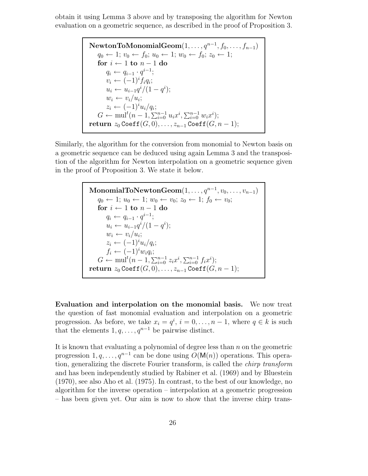obtain it using Lemma 3 above and by transposing the algorithm for Newton evaluation on a geometric sequence, as described in the proof of Proposition 3.

> $\mathbf{NewtonToMonomialGeom}(1,\ldots,q^{n-1},f_0,\ldots,f_{n-1})$  $q_0 \leftarrow 1; v_0 \leftarrow f_0; u_0 \leftarrow 1; w_0 \leftarrow f_0; z_0 \leftarrow 1;$ for  $i \leftarrow 1$  to  $n - 1$  do  $q_i \leftarrow q_{i-1} \cdot q^{i-1};$  $v_i \leftarrow (-1)^i f_i q_i;$  $u_i \leftarrow u_{i-1} q^i / (1 - q^i);$  $w_i \leftarrow v_i/u_i;$  $z_i \leftarrow (-1)^i u_i / q_i;$  $G \leftarrow \text{mul}^{t}(n-1, \sum_{i=0}^{n-1} u_{i}x^{i}, \sum_{i=0}^{n-1} w_{i}x^{i});$  ${\bf return}\,\ z_0\, {\sf Coeff}(G,0), \ldots, z_{n-1}\, {\sf Coeff}(G,n-1);$

Similarly, the algorithm for the conversion from monomial to Newton basis on a geometric sequence can be deduced using again Lemma 3 and the transposition of the algorithm for Newton interpolation on a geometric sequence given in the proof of Proposition 3. We state it below.

> MonomialToNewtonGeom $(1,\ldots,q^{n-1},v_0,\ldots,v_{n-1})$  $q_0 \leftarrow 1; u_0 \leftarrow 1; w_0 \leftarrow v_0; z_0 \leftarrow 1; f_0 \leftarrow v_0;$ for  $i \leftarrow 1$  to  $n - 1$  do  $q_i \leftarrow q_{i-1} \cdot q^{i-1};$  $u_i \leftarrow u_{i-1} q^i / (1 - q^i);$  $w_i \leftarrow v_i/u_i;$  $z_i \leftarrow (-1)^i u_i / q_i;$  $f_i \leftarrow (-1)^i w_i q_i;$  $G \leftarrow \text{mul}^{t} (n-1, \sum_{i=0}^{n-1} z_{i} x^{i}, \sum_{i=0}^{n-1} f_{i} x^{i});$  ${\bf return}\,\ z_0\, {\sf Coeff}(G,0), \ldots, z_{n-1}\, {\sf Coeff}(G,n-1);$

Evaluation and interpolation on the monomial basis. We now treat the question of fast monomial evaluation and interpolation on a geometric progression. As before, we take  $x_i = q^i$ ,  $i = 0, \ldots, n - 1$ , where  $q \in k$  is such that the elements  $1, q, \ldots, q^{n-1}$  be pairwise distinct.

It is known that evaluating a polynomial of degree less than  $n$  on the geometric progression  $1, q, \ldots, q^{n-1}$  can be done using  $O(M(n))$  operations. This operation, generalizing the discrete Fourier transform, is called the chirp transform and has been independently studied by Rabiner et al. (1969) and by Bluestein (1970), see also Aho et al. (1975). In contrast, to the best of our knowledge, no algorithm for the inverse operation – interpolation at a geometric progression – has been given yet. Our aim is now to show that the inverse chirp trans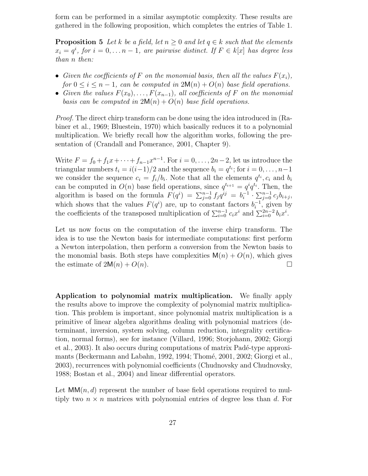form can be performed in a similar asymptotic complexity. These results are gathered in the following proposition, which completes the entries of Table 1.

**Proposition 5** Let k be a field, let  $n \geq 0$  and let  $q \in k$  such that the elements  $x_i = q^i$ , for  $i = 0, \ldots n-1$ , are pairwise distinct. If  $F \in k[x]$  has degree less than n then:

- Given the coefficients of F on the monomial basis, then all the values  $F(x_i)$ , for  $0 \le i \le n-1$ , can be computed in  $2\mathsf{M}(n) + O(n)$  base field operations.
- Given the values  $F(x_0), \ldots, F(x_{n-1})$ , all coefficients of F on the monomial basis can be computed in  $2\mathsf{M}(n) + O(n)$  base field operations.

Proof. The direct chirp transform can be done using the idea introduced in (Rabiner et al., 1969; Bluestein, 1970) which basically reduces it to a polynomial multiplication. We briefly recall how the algorithm works, following the presentation of (Crandall and Pomerance, 2001, Chapter 9).

Write  $F = f_0 + f_1 x + \cdots + f_{n-1} x^{n-1}$ . For  $i = 0, \ldots, 2n-2$ , let us introduce the triangular numbers  $t_i = i(i-1)/2$  and the sequence  $b_i = q^{t_i}$ ; for  $i = 0, \ldots, n-1$ we consider the sequence  $c_i = f_i/b_i$ . Note that all the elements  $q^{t_i}, c_i$  and  $b_i$ can be computed in  $O(n)$  base field operations, since  $q^{t_{i+1}} = q^i q^{t_i}$ . Then, the algorithm is based on the formula  $F(q^i) = \sum_{j=0}^{n-1} f_j q^{ij} = b_i^{-1} \cdot \sum_{j=0}^{n-1} c_j b_{i+j}$ , which shows that the values  $F(q^i)$  are, up to constant factors  $b_i^{-1}$ , given by the coefficients of the transposed multiplication of  $\sum_{i=0}^{n-1} c_i x^i$  and  $\sum_{i=0}^{2n-2} b_i x^i$ .

Let us now focus on the computation of the inverse chirp transform. The idea is to use the Newton basis for intermediate computations: first perform a Newton interpolation, then perform a conversion from the Newton basis to the monomial basis. Both steps have complexities  $M(n) + O(n)$ , which gives the estimate of  $2\mathsf{M}(n) + O(n)$ .

Application to polynomial matrix multiplication. We finally apply the results above to improve the complexity of polynomial matrix multiplication. This problem is important, since polynomial matrix multiplication is a primitive of linear algebra algorithms dealing with polynomial matrices (determinant, inversion, system solving, column reduction, integrality certification, normal forms), see for instance (Villard, 1996; Storjohann, 2002; Giorgi et al.,  $2003$ ). It also occurs during computations of matrix Padé-type approximants (Beckermann and Labahn, 1992, 1994; Thomé, 2001, 2002; Giorgi et al., 2003), recurrences with polynomial coefficients (Chudnovsky and Chudnovsky, 1988; Bostan et al., 2004) and linear differential operators.

Let  $MM(n, d)$  represent the number of base field operations required to multiply two  $n \times n$  matrices with polynomial entries of degree less than d. For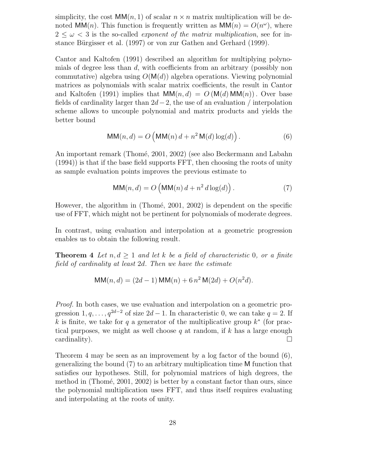simplicity, the cost  $MM(n, 1)$  of scalar  $n \times n$  matrix multiplication will be denoted MM(n). This function is frequently written as  $MM(n) = O(n^{\omega})$ , where  $2 \leq \omega < 3$  is the so-called *exponent of the matrix multiplication*, see for instance Bürgisser et al. (1997) or von zur Gathen and Gerhard (1999).

Cantor and Kaltofen (1991) described an algorithm for multiplying polynomials of degree less than d, with coefficients from an arbitrary (possibly non commutative) algebra using  $O(M(d))$  algebra operations. Viewing polynomial matrices as polynomials with scalar matrix coefficients, the result in Cantor and Kaltofen (1991) implies that  $MM(n, d) = O(M(d) MM(n))$ . Over base fields of cardinality larger than  $2d-2$ , the use of an evaluation / interpolation scheme allows to uncouple polynomial and matrix products and yields the better bound

$$
MM(n, d) = O\left(MM(n) d + n^2 M(d) \log(d)\right).
$$
 (6)

An important remark (Thomé, 2001, 2002) (see also Beckermann and Labahn (1994)) is that if the base field supports FFT, then choosing the roots of unity as sample evaluation points improves the previous estimate to

$$
MM(n, d) = O\left(MM(n) d + n^2 d \log(d)\right).
$$
 (7)

However, the algorithm in  $(Thomé, 2001, 2002)$  is dependent on the specific use of FFT, which might not be pertinent for polynomials of moderate degrees.

In contrast, using evaluation and interpolation at a geometric progression enables us to obtain the following result.

**Theorem 4** Let  $n, d > 1$  and let k be a field of characteristic 0, or a finite field of cardinality at least 2d. Then we have the estimate

$$
MM(n, d) = (2d - 1) MM(n) + 6 n2 M(2d) + O(n2 d).
$$

Proof. In both cases, we use evaluation and interpolation on a geometric progression  $1, q, \ldots, q^{2d-2}$  of size  $2d-1$ . In characteristic 0, we can take  $q = 2$ . If k is finite, we take for q a generator of the multiplicative group  $k^*$  (for practical purposes, we might as well choose q at random, if k has a large enough cardinality).  $\square$ 

Theorem 4 may be seen as an improvement by a log factor of the bound (6), generalizing the bound (7) to an arbitrary multiplication time M function that satisfies our hypotheses. Still, for polynomial matrices of high degrees, the method in  $(Thomé, 2001, 2002)$  is better by a constant factor than ours, since the polynomial multiplication uses FFT, and thus itself requires evaluating and interpolating at the roots of unity.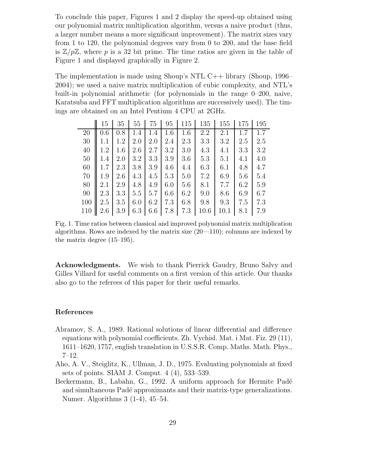To conclude this paper, Figures 1 and 2 display the speed-up obtained using our polynomial matrix multiplication algorithm, versus a naive product (thus, a larger number means a more significant improvement). The matrix sizes vary from 1 to 120, the polynomial degrees vary from 0 to 200, and the base field is  $\mathbb{Z}/p\mathbb{Z}$ , where p is a 32 bit prime. The time ratios are given in the table of Figure 1 and displayed graphically in Figure 2.

The implementation is made using Shoup's NTL  $C_{++}$  library (Shoup, 1996– 2004); we used a naive matrix multiplication of cubic complexity, and NTL's built-in polynomial arithmetic (for polynomials in the range 0–200, naive, Karatsuba and FFT multiplication algorithms are successively used). The timings are obtained on an Intel Pentium 4 CPU at 2GHz.

|     | 15      | 35  | 55  | 75  | 95  | 115 | 135      | 155  | 175 | 195 |
|-----|---------|-----|-----|-----|-----|-----|----------|------|-----|-----|
| 20  | 0.6     | 0.8 | 1.4 | 1.4 | 1.6 | 1.6 | 2.2      | 2.1  | 1.7 | 1.7 |
| 30  | 1.1     | 1.2 | 2.0 | 2.0 | 2.4 | 2.3 | 3.3      | 3.2  | 2.5 | 2.5 |
| 40  | 1.2     | 1.6 | 2.6 | 2.7 | 3.2 | 3.0 | 4.3      | 4.1  | 3.3 | 3.2 |
| 50  | 1.4     | 2.0 | 3.2 | 3.3 | 3.9 | 3.6 | 5.3      | 5.1  | 4.1 | 4.0 |
| 60  | 1.7     | 2.3 | 3.8 | 3.9 | 4.6 | 4.4 | 6.3      | 6.1  | 4.8 | 4.7 |
| 70  | 1.9     | 2.6 | 4.3 | 4.5 | 5.3 | 5.0 | 7.2      | 6.9  | 5.6 | 5.4 |
| 80  | $2.1\,$ | 2.9 | 4.8 | 4.9 | 6.0 | 5.6 | 8.1      | 7.7  | 6.2 | 5.9 |
| 90  | 2.3     | 3.3 | 5.5 | 5.7 | 6.6 | 6.2 | 9.0      | 8.6  | 6.9 | 6.7 |
| 100 | 2.5     | 3.5 | 6.0 | 6.2 | 7.3 | 6.8 | 9.8      | 9.3  | 7.5 | 7.3 |
| 110 | 2.6     | 3.9 | 6.3 | 6.6 | 7.8 | 7.3 | $10.6\,$ | 10.1 | 8.1 | 7.9 |

Fig. 1. Time ratios between classical and improved polynomial matrix multiplication algorithms. Rows are indexed by the matrix size (20—110); columns are indexed by the matrix degree (15–195).

Acknowledgments. We wish to thank Pierrick Gaudry, Bruno Salvy and Gilles Villard for useful comments on a first version of this article. Our thanks also go to the referees of this paper for their useful remarks.

### References

- Abramov, S. A., 1989. Rational solutions of linear differential and difference equations with polynomial coefficients. Zh. Vychisl. Mat. i Mat. Fiz. 29 (11), 1611–1620, 1757, english translation in U.S.S.R. Comp. Maths. Math. Phys., 7–12.
- Aho, A. V., Steiglitz, K., Ullman, J. D., 1975. Evaluating polynomials at fixed sets of points. SIAM J. Comput. 4 (4), 533–539.
- Beckermann, B., Labahn, G., 1992. A uniform approach for Hermite Padé and simultaneous Padé approximants and their matrix-type generalizations. Numer. Algorithms 3 (1-4), 45–54.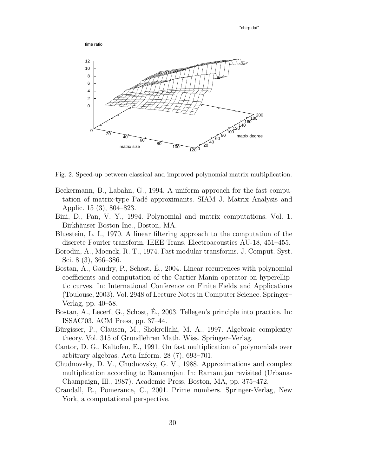"chirp.dat"



Fig. 2. Speed-up between classical and improved polynomial matrix multiplication.

- Beckermann, B., Labahn, G., 1994. A uniform approach for the fast computation of matrix-type Pad´e approximants. SIAM J. Matrix Analysis and Applic. 15 (3), 804–823.
- Bini, D., Pan, V. Y., 1994. Polynomial and matrix computations. Vol. 1. Birkhäuser Boston Inc., Boston, MA.
- Bluestein, L. I., 1970. A linear filtering approach to the computation of the discrete Fourier transform. IEEE Trans. Electroacoustics AU-18, 451–455.
- Borodin, A., Moenck, R. T., 1974. Fast modular transforms. J. Comput. Syst. Sci. 8 (3), 366–386.
- Bostan, A., Gaudry, P., Schost, E., 2004. Linear recurrences with polynomial ´ coefficients and computation of the Cartier-Manin operator on hyperelliptic curves. In: International Conference on Finite Fields and Applications (Toulouse, 2003). Vol. 2948 of Lecture Notes in Computer Science. Springer– Verlag, pp. 40–58.
- Bostan, A., Lecerf, G., Schost, É., 2003. Tellegen's principle into practice. In: ISSAC'03. ACM Press, pp. 37–44.
- Bürgisser, P., Clausen, M., Shokrollahi, M. A., 1997. Algebraic complexity theory. Vol. 315 of Grundlehren Math. Wiss. Springer–Verlag.
- Cantor, D. G., Kaltofen, E., 1991. On fast multiplication of polynomials over arbitrary algebras. Acta Inform. 28 (7), 693–701.
- Chudnovsky, D. V., Chudnovsky, G. V., 1988. Approximations and complex multiplication according to Ramanujan. In: Ramanujan revisited (Urbana-Champaign, Ill., 1987). Academic Press, Boston, MA, pp. 375–472.
- Crandall, R., Pomerance, C., 2001. Prime numbers. Springer-Verlag, New York, a computational perspective.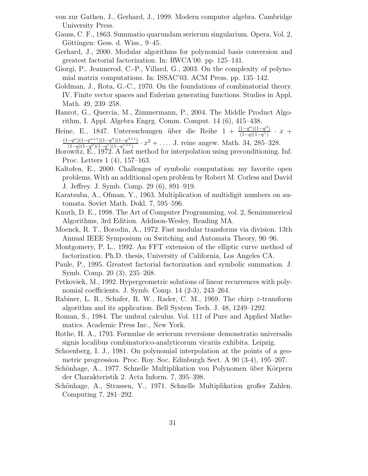- von zur Gathen, J., Gerhard, J., 1999. Modern computer algebra. Cambridge University Press.
- Gauss, C. F., 1863. Summatio quarundam serierum singularium. Opera, Vol. 2, Göttingen: Gess. d. Wiss., 9–45.
- Gerhard, J., 2000. Modular algorithms for polynomial basis conversion and greatest factorial factorization. In: RWCA'00. pp. 125–141.
- Giorgi, P., Jeannerod, C.-P., Villard, G., 2003. On the complexity of polynomial matrix computations. In: ISSAC'03. ACM Press, pp. 135–142.
- Goldman, J., Rota, G.-C., 1970. On the foundations of combinatorial theory. IV. Finite vector spaces and Eulerian generating functions. Studies in Appl. Math. 49, 239–258.
- Hanrot, G., Quercia, M., Zimmermann, P., 2004. The Middle Product Algorithm, I. Appl. Algebra Engrg. Comm. Comput. 14 (6), 415–438.
- Heine, E., 1847. Untersuchungen über die Reihe  $1 + \frac{(1-q^{\alpha})(1-q^{\beta})}{(1-q)(1-q^{\alpha})}$  $\frac{1-q^{\alpha})(1-q^{\beta})}{(1-q)(1-q^{\gamma})}$  ·  $x +$  $(1-q^{\alpha})(1-q^{\alpha+1})(1-q^{\beta})(1-q^{\beta+1})$  $\frac{-q^{\alpha})(1-q^{\alpha+1})(1-q^{\beta})(1-q^{\beta+1})}{(1-q)(1-q^2)(1-q^{\gamma})(1-q^{\gamma+1})} \cdot x^2 + \ldots$  J. reine angew. Math. 34, 285–328.
- Horowitz, E., 1972. A fast method for interpolation using preconditioning. Inf. Proc. Letters 1 (4), 157–163.
- Kaltofen, E., 2000. Challenges of symbolic computation: my favorite open problems. With an additional open problem by Robert M. Corless and David J. Jeffrey. J. Symb. Comp. 29 (6), 891–919.
- Karatsuba, A., Ofman, Y., 1963. Multiplication of multidigit numbers on automata. Soviet Math. Dokl. 7, 595–596.
- Knuth, D. E., 1998. The Art of Computer Programming, vol. 2, Seminumerical Algorithms, 3rd Edition. Addison-Wesley, Reading MA.
- Moenck, R. T., Borodin, A., 1972. Fast modular transforms via division. 13th Annual IEEE Symposium on Switching and Automata Theory, 90–96.
- Montgomery, P. L., 1992. An FFT extension of the elliptic curve method of factorization. Ph.D. thesis, University of California, Los Angeles CA.
- Paule, P., 1995. Greatest factorial factorization and symbolic summation. J. Symb. Comp. 20 (3), 235–268.
- Petkovšek, M., 1992. Hypergeometric solutions of linear recurrences with polynomial coefficients. J. Symb. Comp. 14 (2-3), 243–264.
- Rabiner, L. R., Schafer, R. W., Rader, C. M., 1969. The chirp z-transform algorithm and its application. Bell System Tech. J. 48, 1249–1292.
- Roman, S., 1984. The umbral calculus. Vol. 111 of Pure and Applied Mathematics. Academic Press Inc., New York.
- Rothe, H. A., 1793. Formulae de serierum reversione demonstratio universalis signis localibus combinatorico-analyticorum vicariis exhibita. Leipzig.
- Schoenberg, I. J., 1981. On polynomial interpolation at the points of a geometric progression. Proc. Roy. Soc. Edinburgh Sect. A 90 (3-4), 195–207.
- Schönhage, A., 1977. Schnelle Multiplikation von Polynomen über Körpern der Charakteristik 2. Acta Inform. 7, 395–398.
- Schönhage, A., Strassen, V., 1971. Schnelle Multiplikation großer Zahlen. Computing 7, 281–292.